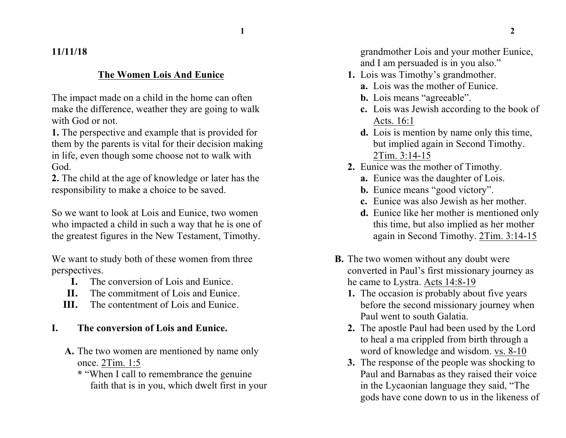## **11/11/18**

### **The Women Lois And Eunice**

The impact made on a child in the home can often make the difference, weather they are going to walk with God or not.

**1.** The perspective and example that is provided for them by the parents is vital for their decision making in life, even though some choose not to walk with God.

**2.** The child at the age of knowledge or later has the responsibility to make a choice to be saved.

So we want to look at Lois and Eunice, two women who impacted a child in such a way that he is one of the greatest figures in the New Testament, Timothy.

We want to study both of these women from three perspectives.

- **I.** The conversion of Lois and Eunice.
- **II.** The commitment of Lois and Eunice.
- **III.** The contentment of Lois and Eunice.

## **I. The conversion of Lois and Eunice.**

- **A.** The two women are mentioned by name only once. 2Tim. 1:5
	- **\*** "When I call to remembrance the genuine faith that is in you, which dwelt first in your

grandmother Lois and your mother Eunice, and I am persuaded is in you also."

- **1.** Lois was Timothy's grandmother.
	- **a.** Lois was the mother of Eunice.
	- **b.** Lois means "agreeable".
	- **c.** Lois was Jewish according to the book of Acts. 16:1
	- **d.** Lois is mention by name only this time, but implied again in Second Timothy. 2Tim. 3:14-15
- **2.** Eunice was the mother of Timothy.
	- **a.** Eunice was the daughter of Lois.
	- **b.** Eunice means "good victory".
	- **c.** Eunice was also Jewish as her mother.
	- **d.** Eunice like her mother is mentioned only this time, but also implied as her mother again in Second Timothy. 2Tim. 3:14-15
- **B.** The two women without any doubt were converted in Paul's first missionary journey as he came to Lystra. Acts 14:8-19
	- **1.** The occasion is probably about five years before the second missionary journey when Paul went to south Galatia.
	- **2.** The apostle Paul had been used by the Lord to heal a ma crippled from birth through a word of knowledge and wisdom. vs. 8-10
	- **3.** The response of the people was shocking to Paul and Barnabas as they raised their voice in the Lycaonian language they said, "The gods have cone down to us in the likeness of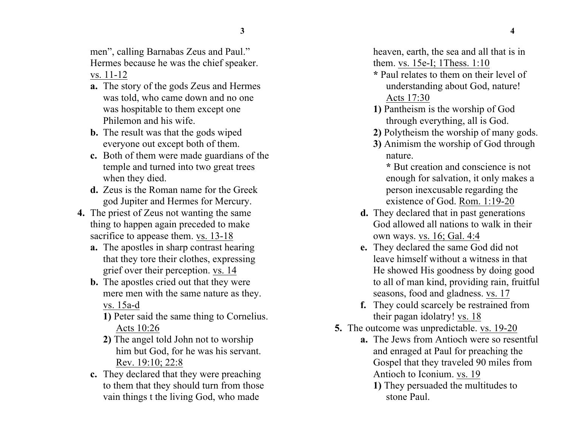men", calling Barnabas Zeus and Paul." Hermes because he was the chief speaker. vs. 11-12

- **a.** The story of the gods Zeus and Hermes was told, who came down and no one was hospitable to them except one Philemon and his wife.
- **b.** The result was that the gods wiped everyone out except both of them.
- **c.** Both of them were made guardians of the temple and turned into two great trees when they died.
- **d.** Zeus is the Roman name for the Greek god Jupiter and Hermes for Mercury.
- **4.** The priest of Zeus not wanting the same thing to happen again preceded to make sacrifice to appease them. vs. 13-18
	- **a.** The apostles in sharp contrast hearing that they tore their clothes, expressing grief over their perception. vs. 14
	- **b.** The apostles cried out that they were mere men with the same nature as they. vs. 15a-d
		- **1)** Peter said the same thing to Cornelius. Acts 10:26
		- **2)** The angel told John not to worship him but God, for he was his servant. Rev. 19:10; 22:8
	- **c.** They declared that they were preaching to them that they should turn from those vain things t the living God, who made

heaven, earth, the sea and all that is in them. vs. 15e-I; 1Thess. 1:10

- **\*** Paul relates to them on their level of understanding about God, nature! Acts 17:30
- **1)** Pantheism is the worship of God through everything, all is God.
- **2)** Polytheism the worship of many gods.
- **3)** Animism the worship of God through nature.

**\*** But creation and conscience is not enough for salvation, it only makes a person inexcusable regarding the existence of God. Rom. 1:19-20

- **d.** They declared that in past generations God allowed all nations to walk in their own ways. vs. 16; Gal. 4:4
- **e.** They declared the same God did not leave himself without a witness in that He showed His goodness by doing good to all of man kind, providing rain, fruitful seasons, food and gladness. vs. 17
- **f.** They could scarcely be restrained from their pagan idolatry! vs. 18
- **5.** The outcome was unpredictable. vs. 19-20
	- **a.** The Jews from Antioch were so resentful and enraged at Paul for preaching the Gospel that they traveled 90 miles from Antioch to Iconium. vs. 19
		- **1)** They persuaded the multitudes to stone Paul.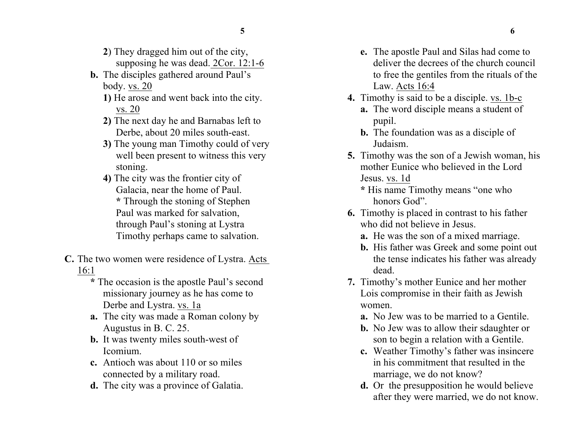- **2**) They dragged him out of the city,
- supposing he was dead. 2Cor. 12:1-6
- **b.** The disciples gathered around Paul's body. vs. 20
	- **1)** He arose and went back into the city. vs. 20
	- **2)** The next day he and Barnabas left to Derbe, about 20 miles south-east.
	- **3)** The young man Timothy could of very well been present to witness this very stoning.
	- **4)** The city was the frontier city of Galacia, near the home of Paul. **\*** Through the stoning of Stephen Paul was marked for salvation, through Paul's stoning at Lystra Timothy perhaps came to salvation.
- **C.** The two women were residence of Lystra. Acts 16:1
	- **\*** The occasion is the apostle Paul's second missionary journey as he has come to Derbe and Lystra. vs. 1a
	- **a.** The city was made a Roman colony by Augustus in B. C. 25.
	- **b.** It was twenty miles south-west of Icomium.
	- **c.** Antioch was about 110 or so miles connected by a military road.
	- **d.** The city was a province of Galatia.
- **e.** The apostle Paul and Silas had come to deliver the decrees of the church council to free the gentiles from the rituals of the Law. Acts 16:4
- **4.** Timothy is said to be a disciple. vs. 1b-c
	- **a.** The word disciple means a student of pupil.
	- **b.** The foundation was as a disciple of Judaism.
- **5.** Timothy was the son of a Jewish woman, his mother Eunice who believed in the Lord Jesus. vs. 1d
	- **\*** His name Timothy means "one who honors God"
- **6.** Timothy is placed in contrast to his father who did not believe in Jesus.
	- **a.** He was the son of a mixed marriage.
	- **b.** His father was Greek and some point out the tense indicates his father was already dead.
- **7.** Timothy's mother Eunice and her mother Lois compromise in their faith as Jewish women.
	- **a.** No Jew was to be married to a Gentile.
	- **b.** No Jew was to allow their sdaughter or son to begin a relation with a Gentile.
	- **c.** Weather Timothy's father was insincere in his commitment that resulted in the marriage, we do not know?
	- **d.** Or the presupposition he would believe after they were married, we do not know.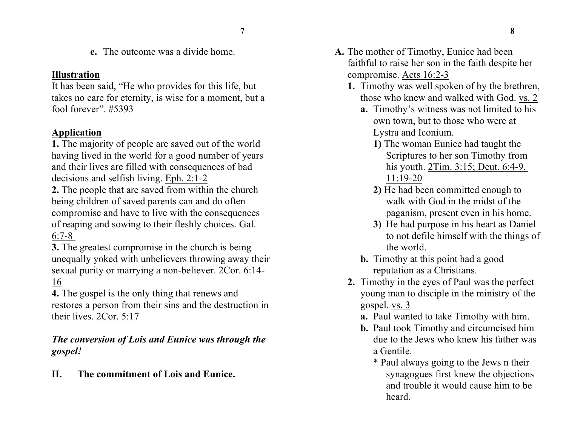**e.** The outcome was a divide home.

#### **Illustration**

It has been said, "He who provides for this life, but takes no care for eternity, is wise for a moment, but a fool forever". #5393

#### **Application**

**1.** The majority of people are saved out of the world having lived in the world for a good number of years and their lives are filled with consequences of bad decisions and selfish living. Eph. 2:1-2

**2.** The people that are saved from within the church being children of saved parents can and do often compromise and have to live with the consequences of reaping and sowing to their fleshly choices. Gal. 6:7-8

**3.** The greatest compromise in the church is being unequally yoked with unbelievers throwing away their sexual purity or marrying a non-believer. 2Cor. 6:14- 16

**4.** The gospel is the only thing that renews and restores a person from their sins and the destruction in their lives. 2Cor. 5:17

### *The conversion of Lois and Eunice was through the gospel!*

**II. The commitment of Lois and Eunice.**

- **A.** The mother of Timothy, Eunice had been faithful to raise her son in the faith despite her compromise. Acts 16:2-3
	- **1.** Timothy was well spoken of by the brethren, those who knew and walked with God. vs. 2
		- **a.** Timothy's witness was not limited to his own town, but to those who were at Lystra and Iconium.
			- **1)** The woman Eunice had taught the Scriptures to her son Timothy from his youth. 2Tim. 3:15; Deut. 6:4-9, 11:19-20
			- **2)** He had been committed enough to walk with God in the midst of the paganism, present even in his home.
			- **3)** He had purpose in his heart as Daniel to not defile himself with the things of the world.
		- **b.** Timothy at this point had a good reputation as a Christians.
	- **2.** Timothy in the eyes of Paul was the perfect young man to disciple in the ministry of the gospel. vs. 3
		- **a.** Paul wanted to take Timothy with him.
		- **b.** Paul took Timothy and circumcised him due to the Jews who knew his father was a Gentile.
			- \* Paul always going to the Jews n their synagogues first knew the objections and trouble it would cause him to be heard.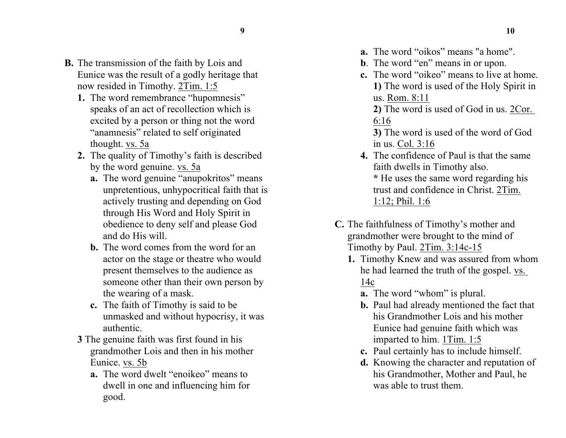- 
- **B.** The transmission of the faith by Lois and Eunice was the result of a godly heritage that now resided in Timothy. 2Tim. 1:5
	- **1.** The word remembrance "hupomnesis" speaks of an act of recollection which is excited by a person or thing not the word "anamnesis" related to self originated thought. vs. 5a
	- **2.** The quality of Timothy's faith is described by the word genuine. vs. 5a
		- **a.** The word genuine "anupokritos" means unpretentious, unhypocritical faith that is actively trusting and depending on God through His Word and Holy Spirit in obedience to deny self and please God and do His will.
		- **b.** The word comes from the word for an actor on the stage or theatre who would present themselves to the audience as someone other than their own person by the wearing of a mask.
		- **c.** The faith of Timothy is said to be unmasked and without hypocrisy, it was authentic.
	- **3** The genuine faith was first found in his grandmother Lois and then in his mother Eunice. vs. 5b
		- **a.** The word dwelt "enoikeo" means to dwell in one and influencing him for good.
- **a.** The word "oikos" means "a home".
- **b**. The word "en" means in or upon.
- **c.** The word "oikeo" means to live at home. **1)** The word is used of the Holy Spirit in us. Rom. 8:11
	- **2)** The word is used of God in us. 2Cor. 6:16
	- **3)** The word is used of the word of God in us. Col. 3:16
- **4.** The confidence of Paul is that the same faith dwells in Timothy also. **\*** He uses the same word regarding his trust and confidence in Christ. 2Tim.
	- 1:12; Phil. 1:6
- **C.** The faithfulness of Timothy's mother and grandmother were brought to the mind of Timothy by Paul. 2Tim. 3:14c-15
	- **1.** Timothy Knew and was assured from whom he had learned the truth of the gospel. vs. 14c
		- **a.** The word "whom" is plural.
		- **b.** Paul had already mentioned the fact that his Grandmother Lois and his mother Eunice had genuine faith which was imparted to him. 1Tim. 1:5
		- **c.** Paul certainly has to include himself.
		- **d.** Knowing the character and reputation of his Grandmother, Mother and Paul, he was able to trust them.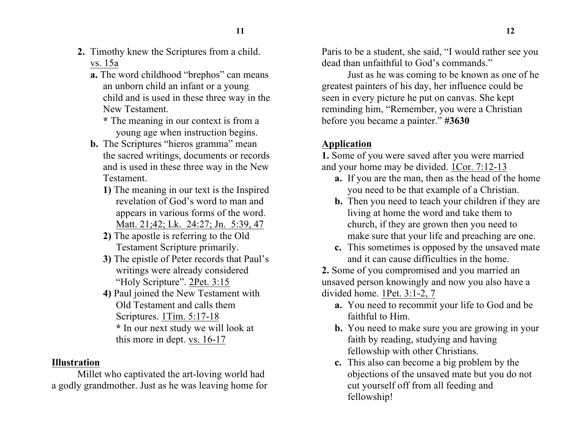- **2.** Timothy knew the Scriptures from a child. vs. 15a
	- **a.** The word childhood "brephos" can means an unborn child an infant or a young child and is used in these three way in the New Testament.
		- **\*** The meaning in our context is from a young age when instruction begins.
	- **b.** The Scriptures "hieros gramma" mean the sacred writings, documents or records and is used in these three way in the New Testament.
		- **1)** The meaning in our text is the Inspired revelation of God's word to man and appears in various forms of the word. Matt. 21;42; Lk. 24:27; Jn. 5:39, 47
		- **2)** The apostle is referring to the Old Testament Scripture primarily.
		- **3)** The epistle of Peter records that Paul's writings were already considered "Holy Scripture". 2Pet. 3:15
		- **4)** Paul joined the New Testament with Old Testament and calls them Scriptures. 1Tim. 5:17-18 **\*** In our next study we will look at this more in dept. vs. 16-17

### **Illustration**

Millet who captivated the art-loving world had a godly grandmother. Just as he was leaving home for Paris to be a student, she said, "I would rather see you dead than unfaithful to God's commands."

Just as he was coming to be known as one of he greatest painters of his day, her influence could be seen in every picture he put on canvas. She kept reminding him, "Remember, you were a Christian before you became a painter." **#3630**

## **Application**

**1.** Some of you were saved after you were married and your home may be divided. 1Cor. 7:12-13

- **a.** If you are the man, then as the head of the home you need to be that example of a Christian.
- **b.** Then you need to teach your children if they are living at home the word and take them to church, if they are grown then you need to make sure that your life and preaching are one.
- **c.** This sometimes is opposed by the unsaved mate and it can cause difficulties in the home.

**2.** Some of you compromised and you married an unsaved person knowingly and now you also have a divided home. 1Pet. 3:1-2, 7

- **a.** You need to recommit your life to God and be faithful to Him.
- **b.** You need to make sure you are growing in your faith by reading, studying and having fellowship with other Christians.
- **c.** This also can become a big problem by the objections of the unsaved mate but you do not cut yourself off from all feeding and fellowship!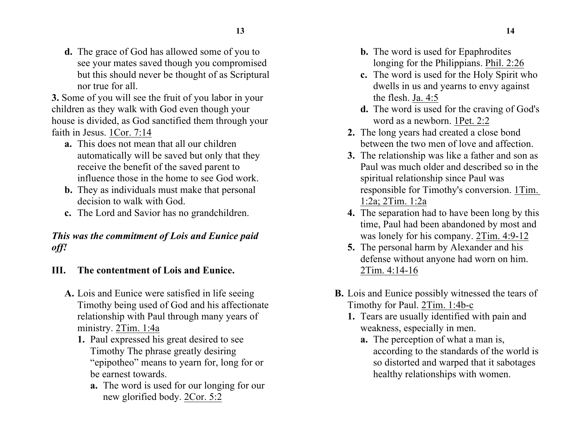- **13 14**
- **d.** The grace of God has allowed some of you to see your mates saved though you compromised but this should never be thought of as Scriptural nor true for all.

**3.** Some of you will see the fruit of you labor in your children as they walk with God even though your house is divided, as God sanctified them through your faith in Jesus. 1Cor. 7:14

- **a.** This does not mean that all our children automatically will be saved but only that they receive the benefit of the saved parent to influence those in the home to see God work.
- **b.** They as individuals must make that personal decision to walk with God.
- **c.** The Lord and Savior has no grandchildren.

# *This was the commitment of Lois and Eunice paid off!*

- **III. The contentment of Lois and Eunice.**
	- **A.** Lois and Eunice were satisfied in life seeing Timothy being used of God and his affectionate relationship with Paul through many years of ministry. 2Tim. 1:4a
		- **1.** Paul expressed his great desired to see Timothy The phrase greatly desiring "epipotheo" means to yearn for, long for or be earnest towards.
			- **a.** The word is used for our longing for our new glorified body. 2Cor. 5:2
- **b.** The word is used for Epaphrodites longing for the Philippians. Phil. 2:26
- **c.** The word is used for the Holy Spirit who dwells in us and yearns to envy against the flesh. Ja. 4:5
- **d.** The word is used for the craving of God's word as a newborn. 1Pet. 2:2
- **2.** The long years had created a close bond between the two men of love and affection.
- **3.** The relationship was like a father and son as Paul was much older and described so in the spiritual relationship since Paul was responsible for Timothy's conversion. 1Tim. 1:2a; 2Tim. 1:2a
- **4.** The separation had to have been long by this time, Paul had been abandoned by most and was lonely for his company. 2Tim. 4:9-12
- **5.** The personal harm by Alexander and his defense without anyone had worn on him. 2Tim. 4:14-16
- **B.** Lois and Eunice possibly witnessed the tears of Timothy for Paul. 2Tim. 1:4b-c
	- **1.** Tears are usually identified with pain and weakness, especially in men.
		- **a.** The perception of what a man is, according to the standards of the world is so distorted and warped that it sabotages healthy relationships with women.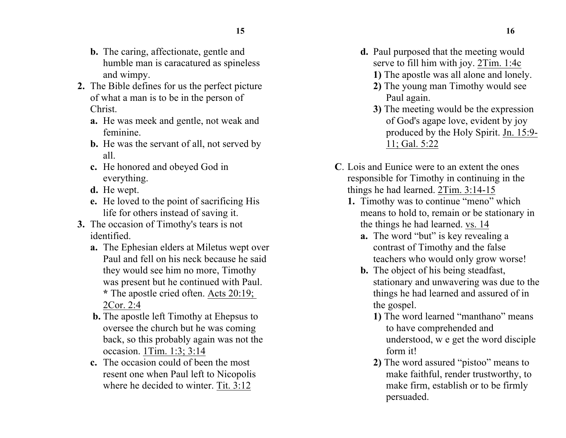- **15 16**
- **b.** The caring, affectionate, gentle and humble man is caracatured as spineless and wimpy.
- **2.** The Bible defines for us the perfect picture of what a man is to be in the person of Christ.
	- **a.** He was meek and gentle, not weak and feminine.
	- **b.** He was the servant of all, not served by all.
	- **c.** He honored and obeyed God in everything.
	- **d.** He wept.
	- **e.** He loved to the point of sacrificing His life for others instead of saving it.
- **3.** The occasion of Timothy's tears is not identified.
	- **a.** The Ephesian elders at Miletus wept over Paul and fell on his neck because he said they would see him no more, Timothy was present but he continued with Paul. **\*** The apostle cried often. Acts 20:19; 2Cor. 2:4
	- **b.** The apostle left Timothy at Ehepsus to oversee the church but he was coming back, so this probably again was not the occasion. 1Tim. 1:3; 3:14
	- **c.** The occasion could of been the most resent one when Paul left to Nicopolis where he decided to winter. Tit. 3:12
- **d.** Paul purposed that the meeting would serve to fill him with joy. 2Tim. 1:4c
	- **1)** The apostle was all alone and lonely.
	- **2)** The young man Timothy would see Paul again.
	- **3)** The meeting would be the expression of God's agape love, evident by joy produced by the Holy Spirit. Jn. 15:9- 11; Gal. 5:22
- **C**. Lois and Eunice were to an extent the ones responsible for Timothy in continuing in the things he had learned. 2Tim. 3:14-15
	- **1.** Timothy was to continue "meno" which means to hold to, remain or be stationary in the things he had learned. vs. 14
		- **a.** The word "but" is key revealing a contrast of Timothy and the false teachers who would only grow worse!
		- **b.** The object of his being steadfast, stationary and unwavering was due to the things he had learned and assured of in the gospel.
			- **1)** The word learned "manthano" means to have comprehended and understood, w e get the word disciple form it!
			- **2)** The word assured "pistoo" means to make faithful, render trustworthy, to make firm, establish or to be firmly persuaded.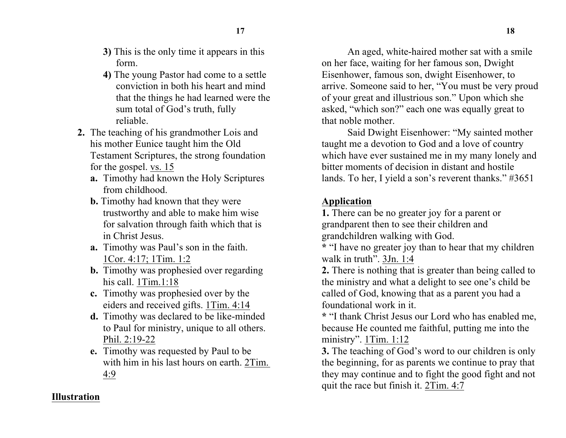- **3)** This is the only time it appears in this form.
- **4)** The young Pastor had come to a settle conviction in both his heart and mind that the things he had learned were the sum total of God's truth, fully reliable.
- **2.** The teaching of his grandmother Lois and his mother Eunice taught him the Old Testament Scriptures, the strong foundation for the gospel. vs. 15
	- **a.** Timothy had known the Holy Scriptures from childhood.
	- **b.** Timothy had known that they were trustworthy and able to make him wise for salvation through faith which that is in Christ Jesus.
	- **a.** Timothy was Paul's son in the faith. 1Cor. 4:17; 1Tim. 1:2
	- **b.** Timothy was prophesied over regarding his call. 1Tim.1:18
	- **c.** Timothy was prophesied over by the eiders and received gifts. 1Tim. 4:14
	- **d.** Timothy was declared to be like-minded to Paul for ministry, unique to all others. Phil. 2:19-22
	- **e.** Timothy was requested by Paul to be with him in his last hours on earth. 2Tim. 4:9

An aged, white-haired mother sat with a smile on her face, waiting for her famous son, Dwight Eisenhower, famous son, dwight Eisenhower, to arrive. Someone said to her, "You must be very proud of your great and illustrious son." Upon which she asked, "which son?" each one was equally great to that noble mother.

Said Dwight Eisenhower: "My sainted mother taught me a devotion to God and a love of country which have ever sustained me in my many lonely and bitter moments of decision in distant and hostile lands. To her, I yield a son's reverent thanks." #3651

# **Application**

**1.** There can be no greater joy for a parent or grandparent then to see their children and grandchildren walking with God.

**\*** "I have no greater joy than to hear that my children walk in truth". 3Jn. 1:4

**2.** There is nothing that is greater than being called to the ministry and what a delight to see one's child be called of God, knowing that as a parent you had a foundational work in it.

**\*** "I thank Christ Jesus our Lord who has enabled me, because He counted me faithful, putting me into the ministry". 1Tim. 1:12

**3.** The teaching of God's word to our children is only the beginning, for as parents we continue to pray that they may continue and to fight the good fight and not quit the race but finish it. 2Tim. 4:7

### **Illustration**